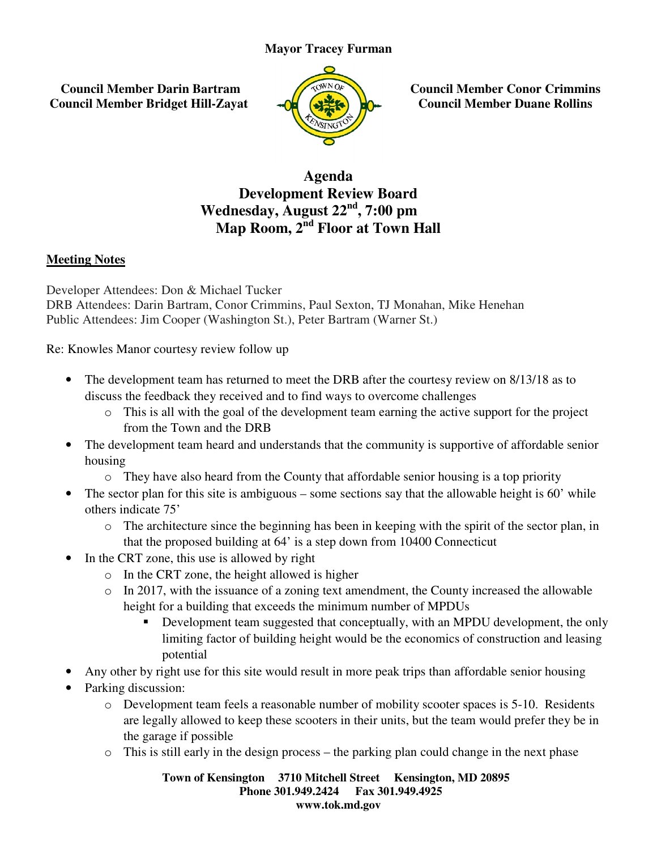## **Mayor Tracey Furman**

 **Council Member Darin Bartram Council Member Bridget Hill-Zayat**



**Zayat**  $\begin{pmatrix} \sqrt{2}a^{N} & a^{N} \\ a^{N} & a^{N} \\ a^{N} & a^{N} \end{pmatrix}$  Council Member Conor Crimmins<br> **Council Member Duane Rollins Council Member Duane Rollins**

## **Development Review Board Wednesday, Wednesday, August 22nd, 7:00 pm Map Room, 2 Room, 2nd Floor at Town Hall Agenda**

## **Meeting Notes**

Developer Attendees: Don & Michael Tucker DRB Attendees: Darin Bartram, Conor Crimmins, Paul Sexton, TJ Monahan, Mike Henehan Public Attendees: Jim Cooper (Washington St.), Peter Bartram (Warner St.)

Re: Knowles Manor courtesy review follow up

- The development team has returned to meet the DRB after the courtesy review on 8/13/18 as to discuss the feedback they received and to find ways to overcome challenges es: Darin Bartram, Conor Crimmins, Paul Sexton, TJ Monahan, Mike lees: Jim Cooper (Washington St.), Peter Bartram (Warner St.)<br>Manor courtesy review follow up<br>evelopment team has returned to meet the DRB after the courtesy
	- o This is all with the goal of the development team earning the active support for the project support for the project from the Town and the DRB
- The development team heard and understands that the community is supportive of affordable senior housing from the Town and the DRB<br>velopment team heard and understands that the community is supportive of affordable senior<br>They have also heard from the County that affordable senior housing is a top priority<br>tor plan for this s
	- o They have also heard from the County that affordable senior housing is a top priority
- The sector plan for this site is ambiguous some sections say that the allowable height is 60' while others indicate 75'
	- o The architecture since the beginning has been in keeping with the spirit of the sector plan, in that the proposed building at 64' is a step down from 10400 Connecticut<br>TRT zone, this use is allowed by right<br>In the CRT zone, the height allowed is higher
- In the CRT zone, this use is allowed by right
	- o In the CRT zone, the height allowed is higher
	- o In 2017, with the issuance of a zoning text amendment, the County increased the allowable height for a building that exceeds the minimum number of MPDUs
- Development team suggested that conceptually, with an MPDU development, the only limiting factor of building height would be the economics of construction and leasing potential a building that exceeds the minimum number of MPDUs<br>velopment team suggested that conceptually, with an MPDU d<br>iiting factor of building height would be the economics of cons the allowable height is 60' while<br>ith the spirit of the sector plan, in<br>0 Connecticut<br>County increased the allowable<br>MPDUs<br>h an MPDU development, the only<br>omics of construction and leasing
- Any other by right use for this site would result in more peak trips than affordable senior housing
- Parking discussion:
- o Development team feels a reasonable number of mobility scooter spaces is 5 5-10. Residents are legally allowed to keep these scooters in their units, but the team would prefer they be in the garage if possible  $\nu$  other by right use for this site would result in more peak trips than affordable senior housin  $\sin$  Since  $\sin$  Since in the seconable number of mobility scooter spaces is 5-10. Reside are legally allowed to keep thes
	-

**Town of Kensington Kensington 3710 Mitchell Street Kensington, MD 20895 Phone 301.949.2424 301.949.2424 Fax 301.949.4925 www.tok.md.gov**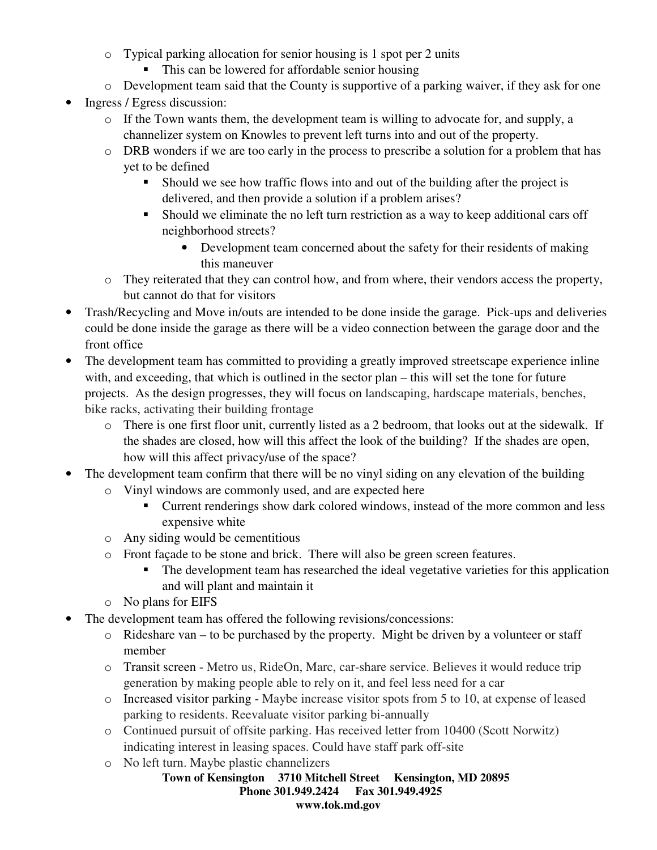- o Typical parking allocation for senior housing is 1 spot per 2 units
	- This can be lowered for affordable senior housing
- o Development team said that the County is supportive of a parking waiver, if they ask for one
- Ingress / Egress discussion:
	- o If the Town wants them, the development team is willing to advocate for, and supply, a channelizer system on Knowles to prevent left turns into and out of the property.
	- o DRB wonders if we are too early in the process to prescribe a solution for a problem that has yet to be defined
		- Should we see how traffic flows into and out of the building after the project is delivered, and then provide a solution if a problem arises?
		- Should we eliminate the no left turn restriction as a way to keep additional cars off neighborhood streets?
			- Development team concerned about the safety for their residents of making this maneuver
	- o They reiterated that they can control how, and from where, their vendors access the property, but cannot do that for visitors
- Trash/Recycling and Move in/outs are intended to be done inside the garage. Pick-ups and deliveries could be done inside the garage as there will be a video connection between the garage door and the front office
- The development team has committed to providing a greatly improved streetscape experience inline with, and exceeding, that which is outlined in the sector plan – this will set the tone for future projects. As the design progresses, they will focus on landscaping, hardscape materials, benches, bike racks, activating their building frontage
	- o There is one first floor unit, currently listed as a 2 bedroom, that looks out at the sidewalk. If the shades are closed, how will this affect the look of the building? If the shades are open, how will this affect privacy/use of the space?
- The development team confirm that there will be no vinyl siding on any elevation of the building
	- o Vinyl windows are commonly used, and are expected here
		- Current renderings show dark colored windows, instead of the more common and less expensive white
	- o Any siding would be cementitious
	- o Front façade to be stone and brick. There will also be green screen features.
		- The development team has researched the ideal vegetative varieties for this application and will plant and maintain it
	- o No plans for EIFS
- The development team has offered the following revisions/concessions:
	- o Rideshare van to be purchased by the property. Might be driven by a volunteer or staff member
	- o Transit screen Metro us, RideOn, Marc, car-share service. Believes it would reduce trip generation by making people able to rely on it, and feel less need for a car
	- o Increased visitor parking Maybe increase visitor spots from 5 to 10, at expense of leased parking to residents. Reevaluate visitor parking bi-annually
	- o Continued pursuit of offsite parking. Has received letter from 10400 (Scott Norwitz) indicating interest in leasing spaces. Could have staff park off-site
	- o No left turn. Maybe plastic channelizers
		- **Town of Kensington 3710 Mitchell Street Kensington, MD 20895 Phone 301.949.2424 Fax 301.949.4925 www.tok.md.gov**